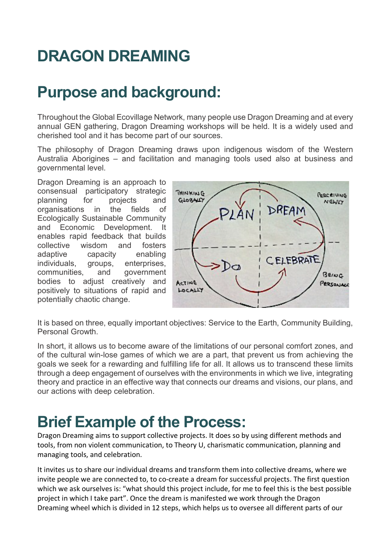# **DRAGON DREAMING**

## **Purpose and background:**

Throughout the Global Ecovillage Network, many people use Dragon Dreaming and at every annual GEN gathering, Dragon Dreaming workshops will be held. It is a widely used and cherished tool and it has become part of our sources.

The philosophy of Dragon Dreaming draws upon indigenous wisdom of the Western Australia Aborigines – and facilitation and managing tools used also at business and governmental level.

Dragon Dreaming is an approach to consensual participatory strategic planning for projects and organisations in the fields of Ecologically Sustainable Community and Economic Development. It enables rapid feedback that builds collective wisdom and fosters adaptive capacity enabling individuals, groups, enterprises, communities, and government bodies to adjust creatively and positively to situations of rapid and potentially chaotic change.



It is based on three, equally important objectives: Service to the Earth, Community Building, Personal Growth.

In short, it allows us to become aware of the limitations of our personal comfort zones, and of the cultural win-lose games of which we are a part, that prevent us from achieving the goals we seek for a rewarding and fulfilling life for all. It allows us to transcend these limits through a deep engagement of ourselves with the environments in which we live, integrating theory and practice in an effective way that connects our dreams and visions, our plans, and our actions with deep celebration.

#### **Brief Example of the Process:**

Dragon Dreaming aims to support collective projects. It does so by using different methods and tools, from non violent communication, to Theory U, charismatic communication, planning and managing tools, and celebration.

It invites us to share our individual dreams and transform them into collective dreams, where we invite people we are connected to, to co-create a dream for successful projects. The first question which we ask ourselves is: "what should this project include, for me to feel this is the best possible project in which I take part". Once the dream is manifested we work through the Dragon Dreaming wheel which is divided in 12 steps, which helps us to oversee all different parts of our